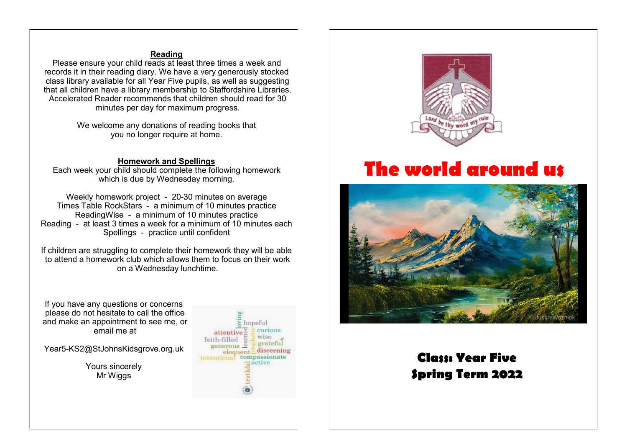# **Reading**

Please ensure your child reads at least three times a week and records it in their reading diary. We have a very generously stocked class library available for all Year Five pupils, as well as suggesting that all children have a library membership to Staffordshire Libraries. Accelerated Reader recommends that children should read for 30 minutes per day for maximum progress.

> We welcome any donations of reading books that you no longer require at home.

### **Homework and Spellings**

Each week your child should complete the following homework which is due by Wednesday morning.

Weekly homework project - 20-30 minutes on average Times Table RockStars - a minimum of 10 minutes practice ReadingWise - a minimum of 10 minutes practice Reading - at least 3 times a week for a minimum of 10 minutes each Spellings - practice until confident

If children are struggling to complete their homework they will be able to attend a homework club which allows them to focus on their work on a Wednesday lunchtime.

If you have any questions or concerns please do not hesitate to call the office and make an appointment to see me, or email me at

Year5-KS2@StJohnsKidsgrove.org.uk

Yours sincerely Mr Wiggs





# **The world around us**



# **Class: Year Five Spring Term 2022**